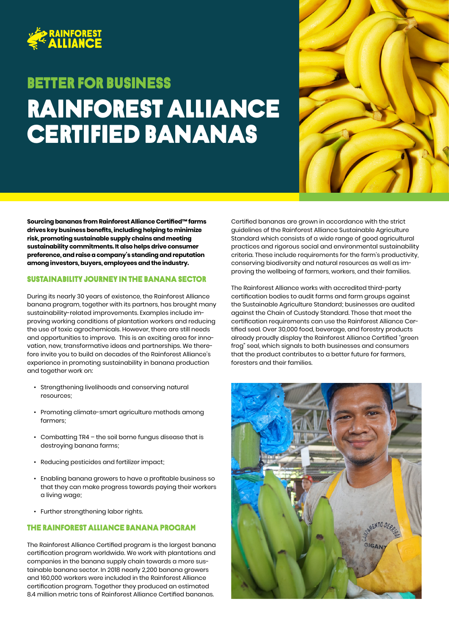

# Rainforest alliance certified bananas Better FOR BUSINESS



**Sourcing bananas from Rainforest Alliance Certified™ farms drives key business benefits, including helping to minimize risk, promoting sustainable supply chains and meeting sustainability commitments. It also helps drive consumer preference, and raise a company's standing and reputation among investors, buyers, employees and the industry.** 

#### Sustainability journey in the banana sector

During its nearly 30 years of existence, the Rainforest Alliance banana program, together with its partners, has brought many sustainability-related improvements. Examples include improving working conditions of plantation workers and reducing the use of toxic agrochemicals. However, there are still needs and opportunities to improve. This is an exciting area for innovation, new, transformative ideas and partnerships. We therefore invite you to build on decades of the Rainforest Alliance's experience in promoting sustainability in banana production and together work on:

- Strengthening livelihoods and conserving natural resources;
- Promoting climate-smart agriculture methods among farmers;
- Combatting TR4 the soil borne fungus disease that is destroying banana farms;
- Reducing pesticides and fertilizer impact;
- Enabling banana growers to have a profitable business so that they can make progress towards paying their workers a living wage;
- Further strengthening labor rights.

### The Rainforest Alliance banana program

The Rainforest Alliance Certified program is the largest banana certification program worldwide. We work with plantations and companies in the banana supply chain towards a more sustainable banana sector. In 2018 nearly 2,200 banana growers and 160,000 workers were included in the Rainforest Alliance certification program. Together they produced an estimated 8.4 million metric tons of Rainforest Alliance Certified bananas.

Certified bananas are grown in accordance with the strict guidelines of the Rainforest Alliance Sustainable Agriculture Standard which consists of a wide range of good agricultural practices and rigorous social and environmental sustainability criteria. These include requirements for the farm's productivity, conserving biodiversity and natural resources as well as improving the wellbeing of farmers, workers, and their families.

The Rainforest Alliance works with accredited third-party certification bodies to audit farms and farm groups against the Sustainable Agriculture Standard; businesses are audited against the Chain of Custody Standard. Those that meet the certification requirements can use the Rainforest Alliance Certified seal. Over 30,000 food, beverage, and forestry products already proudly display the Rainforest Alliance Certified "green frog" seal, which signals to both businesses and consumers that the product contributes to a better future for farmers, foresters and their families.